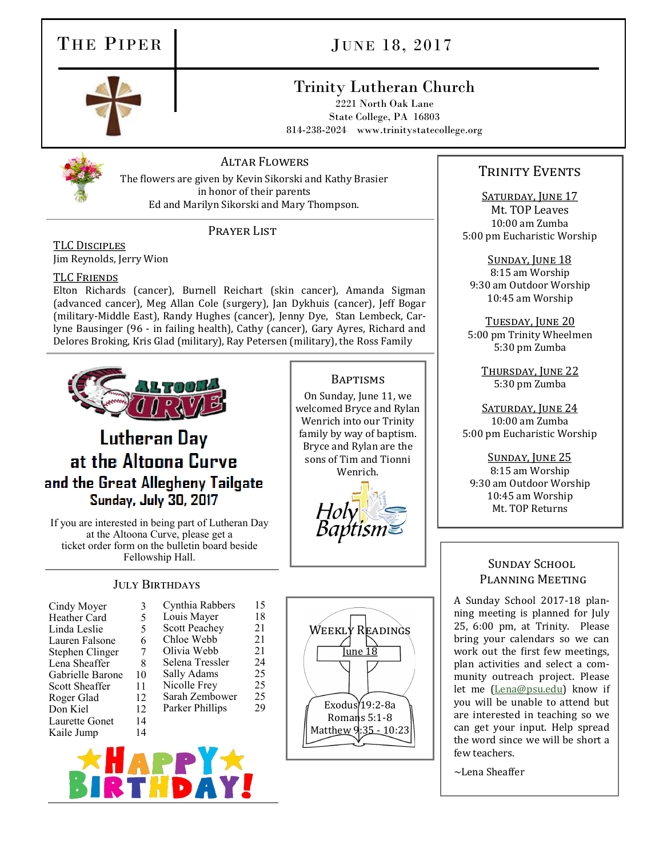## THE PIPER JUNE 18, 2017

## Trinity Lutheran Church

2221 North Oak Lane State College, PA 16803 814-238-2024 www.trinitystatecollege.org



### Altar Flowers

The flowers are given by Kevin Sikorski and Kathy Brasier in honor of their parents Ed and Marilyn Sikorski and Mary Thompson.

#### PRAYER LIST

TLC Disciples Jim Reynolds, Jerry Wion

#### TLC Friends

Elton Richards (cancer), Burnell Reichart (skin cancer), Amanda Sigman (advanced cancer), Meg Allan Cole (surgery), Jan Dykhuis (cancer), Jeff Bogar (military-Middle East), Randy Hughes (cancer), Jenny Dye, Stan Lembeck, Carlyne Bausinger (96 - in failing health), Cathy (cancer), Gary Ayres, Richard and Delores Broking, Kris Glad (military), Ray Petersen (military), the Ross Family

 $\frac{21}{24}$ 

25 25  $\frac{25}{29}$ 



## **Lutheran Day** at the Altoona Curve and the Great Allegheny Tailgate **Sunday, July 30, 2017**

If you are interested in being part of Lutheran Day at the Altoona Curve, please get a ticket order form on the bulletin board beside Fellowship Hall.

### JULY BIRTHDAYS

| Cindy Moyer      | 3  | Cynthia Rabbers      | 15 |
|------------------|----|----------------------|----|
| Heather Card     | 5  | Louis Mayer          | 18 |
| Linda Leslie     | 5  | <b>Scott Peachey</b> | 21 |
| Lauren Falsone   | 6  | Chloe Webb           | 21 |
| Stephen Clinger  | 7  | Olivia Webb          | 21 |
| Lena Sheaffer    | 8  | Selena Tressler      | 24 |
| Gabrielle Barone | 10 | Sally Adams          | 25 |
| Scott Sheaffer   | 11 | Nicolle Frey         | 25 |
| Roger Glad       | 12 | Sarah Zembower       | 25 |
| Don Kiel         | 12 | Parker Phillips      | 29 |
| Laurette Gonet   | 14 |                      |    |
| Kaile Jump       | 14 |                      |    |
|                  |    |                      |    |



**BAPTISMS** On Sunday, June 11, we welcomed Bryce and Rylan Wenrich into our Trinity family by way of baptism. Bryce and Rylan are the sons of Tim and Tionni Wenrich.

### TRINITY EVENTS

SATURDAY, JUNE 17 Mt. TOP Leaves 10:00 am Zumba 5:00 pm Eucharistic Worship

Sunday, June 18 8:15 am Worship 9:30 am Outdoor Worship 10:45 am Worship

TUESDAY, JUNE 20 5:00 pm Trinity Wheelmen 5:30 pm Zumba

> Thursday, June 22 5:30 pm Zumba

SATURDAY, JUNE 24 10:00 am Zumba 5:00 pm Eucharistic Worship

SUNDAY, JUNE 25 8:15 am Worship 9:30 am Outdoor Worship 10:45 am Worship Mt. TOP Returns

#### SUNDAY SCHOOL Planning Meeting

A Sunday School 2017-18 planning meeting is planned for July 25, 6:00 pm, at Trinity. Please bring your calendars so we can work out the first few meetings, plan activities and select a community outreach project. Please let me ([Lena@psu.edu\)](mailto:Lena@psu.edu) know if you will be unable to attend but are interested in teaching so we can get your input. Help spread the word since we will be short a few teachers.

~Lena Sheaffer